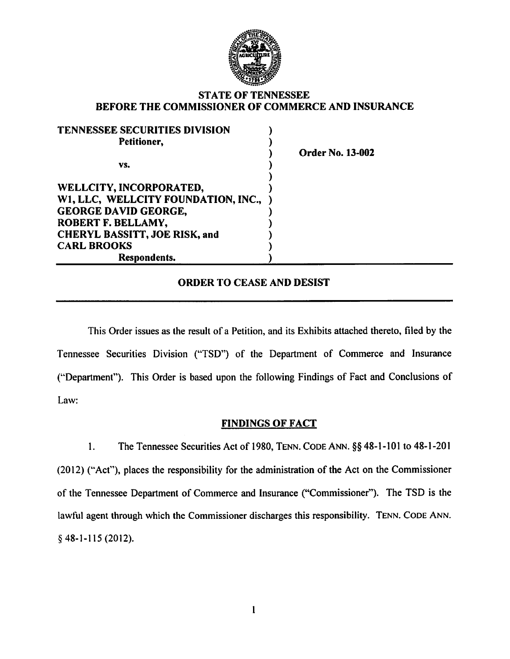

## STATE OF TENNESSEE BEFORE THE COMMISSIONER OF COMMERCE AND INSURANCE

| <b>TENNESSEE SECURITIES DIVISION</b> |  |
|--------------------------------------|--|
| Petitioner,                          |  |
|                                      |  |
| VS.                                  |  |
|                                      |  |
| WELLCITY, INCORPORATED,              |  |
| W1, LLC, WELLCITY FOUNDATION, INC.,  |  |
| <b>GEORGE DAVID GEORGE,</b>          |  |
| ROBERT F. BELLAMY,                   |  |
| <b>CHERYL BASSITT, JOE RISK, and</b> |  |
| <b>CARL BROOKS</b>                   |  |
| <b>Respondents.</b>                  |  |

der No. 13-002

# ORDER TO CEASE AND DESIST

This Order issues as the result of a Petition, and its Exhibits attached thereto, filed by the Tennessee Securities Division ("TSD") of the Department of Commerce and Insurance (''Department"). This Order is based upon the following Findings of Fact and Conclusions of Law:

## FINDINGS OF FACT

I. The Tennessee Securities Act of 1980, TENN. CODE ANN. §§ 48-1-101 to 48-1-201 (2012) ("Act"), places the responsibility for the administration of the Act on the Commissioner of the Tennessee Department of Commerce and Insurance ("Commissioner"). The TSD is the lawful agent through which the Commissioner discharges this responsibility. TENN. CODE ANN. § 48-1-115 (2012).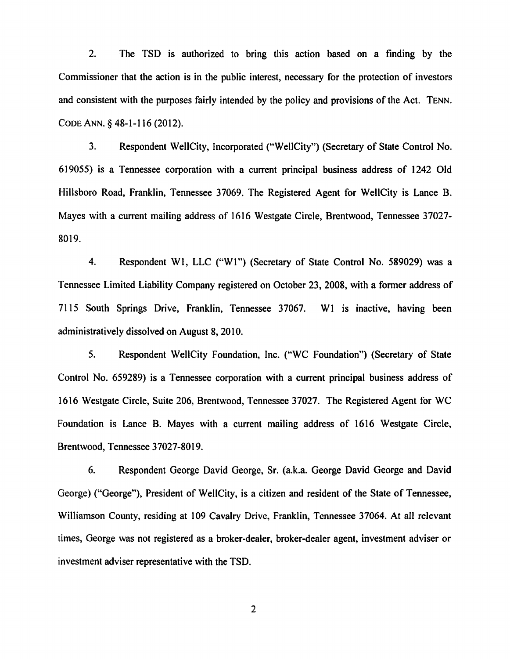2. The TSD is authorized to bring this action based on a finding by the Commissioner that the action is in the public interest, necessary for the protection of investors and consistent with the purposes fairly intended by the policy and provisions of the Act. TENN. CODE ANN.§ 48-I-II6 {20I2).

3. Respondent Well City, Incorporated ("Well City") (Secretary of State Control No. 6I9055) is a Tennessee corporation with a current principal business address of I242 Old Hillsboro Road, Franklin, Tennessee 37069. The Registered Agent for WeliCity is Lance B. Mayes with a current mailing address of I6I6 Westgate Circle, Brentwood, Tennessee 37027- 80I9.

4. Respondent WI, LLC ("WI") (Secretary of State Control No. 589029) was a Tennessee Limited Liability Company registered on October 23, 2008, with a former address of 7II5 South Springs Drive, Franklin, Tennessee 37067. WI is inactive, having been administratively dissolved on August 8, 20IO.

5. Respondent WeliCity Foundation, Inc. ("WC Foundation") (Secretary of State Control No. 659289) is a Tennessee corporation with a current principal business address of 1616 Westgate Circle, Suite 206, Brentwood, Tennessee 37027. The Registered Agent for WC Foundation is Lance B. Mayes with a current mailing address of I6I6 Westgate Circle, Brentwood, Tennessee 37027-80I9.

6. Respondent George David George, Sr. (a.k.a. George David George and David George) ("George"), President of WeliCity, is a citizen and resident of the State of Tennessee, Williamson County, residing at 109 Cavalry Drive, Franklin, Tennessee 37064. At all relevant times, George was not registered as a broker-dealer, broker-dealer agent, investment adviser or investment adviser representative with the TSD.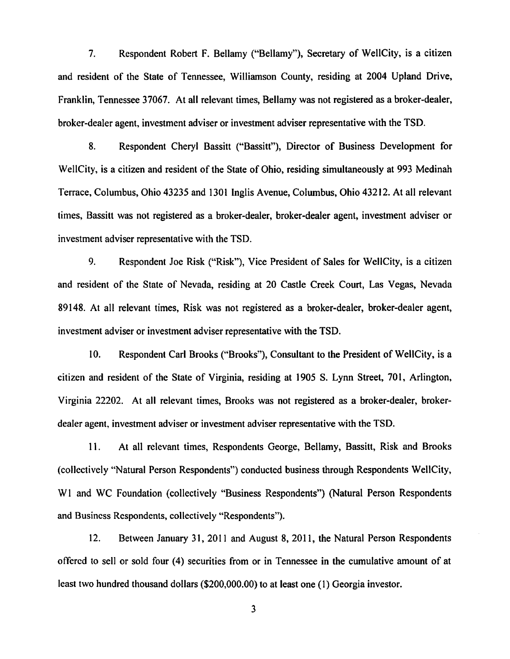7. Respondent Robert F. Bellamy ("Bellamy"), Secretary of WellCity, is a citizen and resident of the State of Tennessee, Williamson County, residing at 2004 Upland Drive, Franklin, Tennessee 37067. At all relevant times, Bellamy was not registered as a broker-dealer, broker-dealer agent, investment adviser or investment adviser representative with the TSD.

8. Respondent Cheryl Bassitt ("Bassitt"), Director of Business Development for WellCity, is a citizen and resident of the State of Ohio, residing simultaneously at 993 Medinah Terrace, Columbus, Ohio 43235 and 1301 Inglis Avenue, Columbus, Ohio 43212. At all relevant times, Bassitt was not registered as a broker-dealer, broker-dealer agent, investment adviser or investment adviser representative with the TSD.

9. Respondent Joe Risk ("Risk"), Vice President of Sales for WellCity, is a citizen and resident of the State of Nevada, residing at 20 Castle Creek Court, Las Vegas, Nevada 89148. At all relevant times, Risk was not registered as a broker-dealer, broker-dealer agent, investment adviser or investment adviser representative with the TSD.

10. Respondent Carl Brooks ("Brooks"), Consultant to the President of WellCity, is a citizen and resident of the State of Virginia, residing at 1905 S. Lynn Street, 701, Arlington, Virginia 22202. At all relevant times, Brooks was not registered as a broker-dealer, brokerdealer agent, investment adviser or investment adviser representative with the TSD.

11. At all relevant times, Respondents George, Bellamy, Bassitt, Risk and Brooks (collectively "Natural Person Respondents") conducted business through Respondents WellCity, WI and WC Foundation (collectively "Business Respondents") (Natural Person Respondents and Business Respondents, collectively "Respondents").

12. Between January 31, 2011 and August 8, 2011, the Natural Person Respondents offered to sell or sold four (4) securities from or in Tennessee in the cumulative amount of at least two hundred thousand dollars (\$200,000.00) to at least one (1) Georgia investor.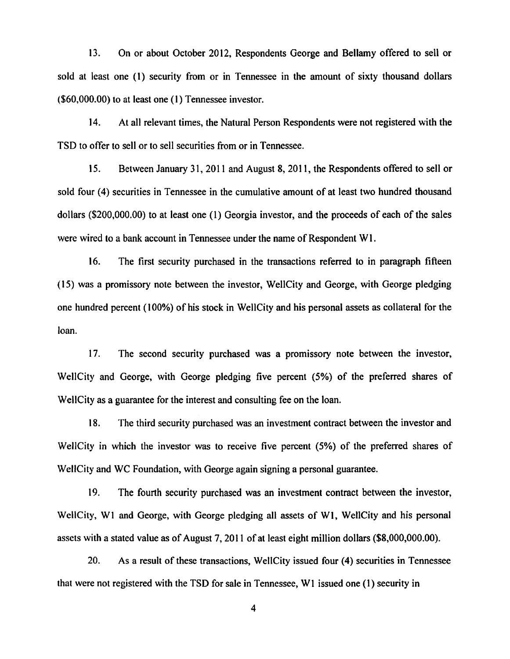13. On or about October 2012, Respondents George and Bellamy offered to sell or sold at least one (1) security from or in Tennessee in the amount of sixty thousand dollars (\$60,000.00) to at least one (I) Tennessee investor.

14. At all relevant times, the Natural Person Respondents were not registered with the TSD to offer to sell or to sell securities from or in Tennessee.

IS. Between January 31, 2011 and August 8, 2011, the Respondents offered to sell or sold four (4) securities in Tennessee in the cumulative amount of at least two hundred thousand dollars (\$200,000.00) to at least one (I) Georgia investor, and the proceeds of each of the sales were wired to a bank account in Tennessee under the name of Respondent WI.

16. The first security purchased in the transactions referred to in paragraph fifteen (15) was a promissory note between the investor, WellCity and George, with George pledging one hundred percent (100%) of his stock in WeiiCity and his personal assets as collateral for the loan.

1 7. The second security purchased was a promissory note between the investor, WellCity and George, with George pledging five percent (5%) of the preferred shares of WellCity as a guarantee for the interest and consulting fee on the loan.

18. The third security purchased was an investment contract between the investor and WellCity in which the investor was to receive five percent (5%) of the preferred shares of WellCity and WC Foundation, with George again signing a personal guarantee.

19. The fourth security purchased was an investment contract between the investor, WcllCity, WI and George, with George pledging all assets of WI, WellCity and his personal assets with a stated value as of August 7, 2011 of at least eight million dollars (\$8,000,000.00).

20. As a result of these transactions, WellCity issued four (4) securities in Tennessee that were not registered with the TSD for sale in Tennessee, W1 issued one (1) security in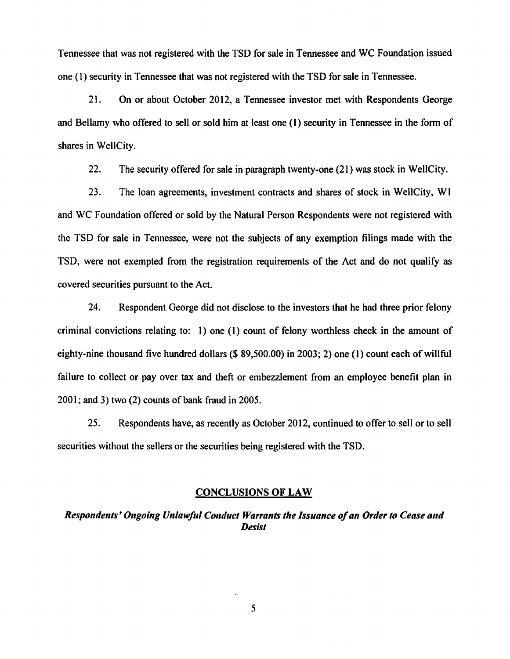Tennessee that was not registered with the TSD for sale in Tennessee and WC Foundation issued one (1) security in Tennessee that was not registered with the TSD for sale in Tennessee.

21. On or about October 2012, a Tennessee investor met with Respondents George and Bellamy who offered to sell or sold him at least one (1) security in Tennessee in the form of shares in WellCity.

22. The security offered for sale in paragraph twenty-one (21) was stock in WellCity.

23. The loan agreements, investment contracts and shares of stock in WellCity, W1 and WC Foundation offered or sold by the Natural Person Respondents were not registered with the TSD for sale in Tennessee, were not the subjects of any exemption filings made with the TSD, were not exempted from the registration requirements of the Act and do not qualify as covered securities pursuant to the Act.

24. Respondent George did not disclose to the investors that he had three prior felony criminal convictions relating to: 1) one (1) count of felony worthless check in the amount of eighty-nine thousand five hundred dollars (\$ 89,500.00) in 2003; 2) one (I) count each of willful failure to collect or pay over tax and theft or embezzlement from an employee benefit plan in 2001; and 3) two (2) counts of bank fraud in 2005.

25. Respondents have, as recently as October 2012, continued to offer to sell or to sell securities without the sellers or the securities being registered with the TSD.

## CONCLUSIONS OF LAW

# *Respondents' Ongoing Unlawful Conduct Warrants the Issuance of an Order to Cease and Desist*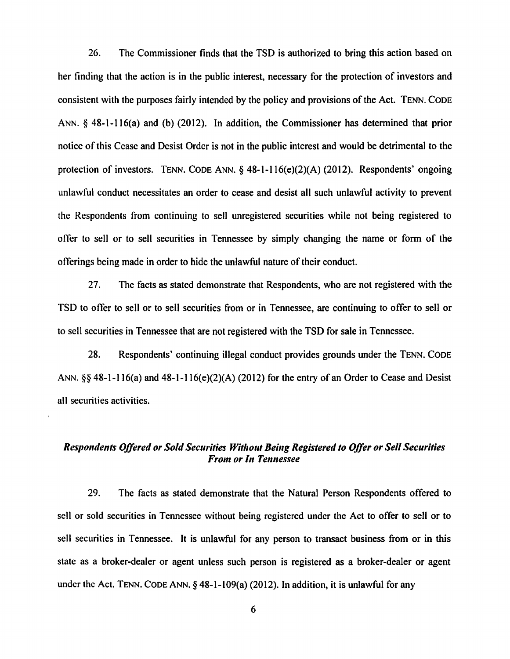26. The Commissioner finds that the TSD is authorized to bring this action based on her finding that the action is in the public interest, necessary for the protection of investors and consistent with the purposes fairly intended by the policy and provisions of the Act. TENN. CODE ANN. § 48-1-116(a) and (b) (2012). In addition, the Commissioner has determined that prior notice of this Cease and Desist Order is not in the public interest and would be detrimental to the protection of investors. TENN. CODE ANN.§ 48-1-116(e)(2)(A) (2012). Respondents' ongoing unlawful conduct necessitates an order to cease and desist all such unlawful activity to prevent the Respondents from continuing to sell unregistered securities while not being registered to offer to sell or to sell securities in Tennessee by simply changing the name or form of the offerings being made in order to hide the unlawful nature of their conduct.

27. The facts as stated demonstrate that Respondents, who are not registered with the TSD to offer to sell or to sell securities from or in Tennessee, are continuing to offer to sell or to sell securities in Tennessee that are not registered with the TSD for sale in Tennessee.

28. Respondents' continuing illegal conduct provides grounds under the TENN. CODE ANN.§§ 48-1-116(a) and 48-I-116(e)(2)(A) (2012) for the entry of an Order to Cease and Desist all securities activities.

# **Respondents Offered or Sold Securities Without Being Registered to Offer or Sell Securities** *From or In Tennessee*

29. The facts as stated demonstrate that the Natural Person Respondents offered to sell or sold securities in Tennessee without being registered under the Act to offer to sell or to sell securities in Tennessee. It is unlawful for any person to transact business from or in this state as a broker-dealer or agent unless such person is registered as a broker-dealer or agent under the Act. TENN. CODE ANN.  $\S$  48-1-109(a) (2012). In addition, it is unlawful for any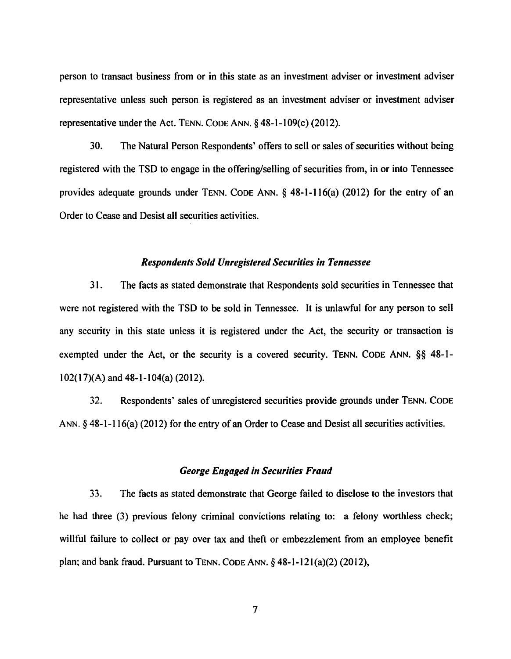person to transact business from or in this state as an investment adviser or investment adviser representative unless such person is registered as an investment adviser or investment adviser representative under the Act. TENN. CODE ANN.  $\S$  48-1-109(c) (2012).

30. The Natural Person Respondents' offers to sell or sales of securities without being registered with the TSD to engage in the offering/selling of securities from, in or into Tennessee provides adequate grounds under TENN. CODE ANN. § 48-1-116(a) (2012) for the entry of an Order to Cease and Desist all securities activities.

#### **Respondents Sold Unregistered Securities in Tennessee**

31. The facts as stated demonstrate that Respondents sold securities in Tennessee that were not registered with the TSD to be sold in Tennessee. It is unlawful for any person to sell any security in this state unless it is registered under the Act, the security or transaction is exempted under the Act, or the security is a covered security. TENN. CODE ANN. §§ 48-1- 102( 17){A) and 48-l-l04(a) (2012).

32. Respondents' sales of unregistered securities provide grounds under TENN. CODE ANN.§ 48-1-116(a) (2012) for the entry of an Order to Cease and Desist all securities activities.

### *George Engaged in Securities Fraud*

33. The facts as stated demonstrate that George failed to disclose to the investors that he had three (3) previous felony criminal convictions relating to: a felony worthless check; willful failure to collect or pay over tax and theft or embezzlement from an employee benefit plan; and bank fraud. Pursuant to TENN. CODE ANN.§ 48-1-12l(a)(2) (2012),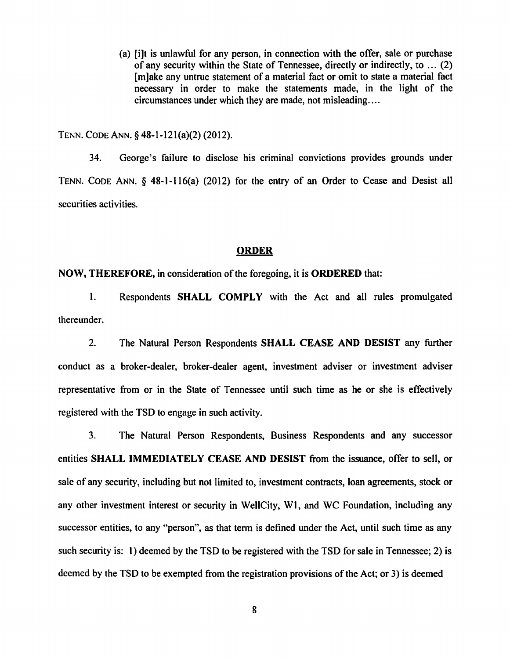(a) [i]t is unlawful for any person, in connection with the offer, sale or purchase of any security within the State of Tennessee, directly or indirectly, to ... (2) [m]ake any untrue statement of a material fact or omit to state a material fact necessary in order to make the statements made, in the light of the circumstances under which they are made, not misleading....

TENN. CODE ANN.§ 48-l-12l(a)(2) (2012).

34. George's failure to disclose his criminal convictions provides grounds under TENN. CODE ANN. § 48-1-116(a) (2012) for the entry of an Order to Cease and Desist all securities activities.

### ORDER

# NOW, THEREFORE, in consideration of the foregoing, it is ORDERED that:

1. Respondents SHALL COMPLY with the Act and all rules promulgated thereunder.

2. The Natural Person Respondents SHALL CEASE AND DESIST any further conduct as a broker-dealer, broker-dealer agent, investment adviser or investment adviser representative from or in the State of Tennessee until such time as he or she is effectively registered with the TSD to engage in such activity.

3. The Natural Person Respondents, Business Respondents and any successor entities SHALL IMMEDIATELY CEASE AND DESIST from the issuance, offer to sell, or sale of any security, including but not limited to, investment contracts, loan agreements, stock or any other investment interest or security in WellCity, WI, and WC Foundation, including any successor entities, to any "person", as that term is defined under the Act, until such time as any such security is: 1) deemed by the TSD to be registered with the TSD for sale in Tennessee; 2) is deemed by the TSD to be exempted from the registration provisions of the Act; or 3) is deemed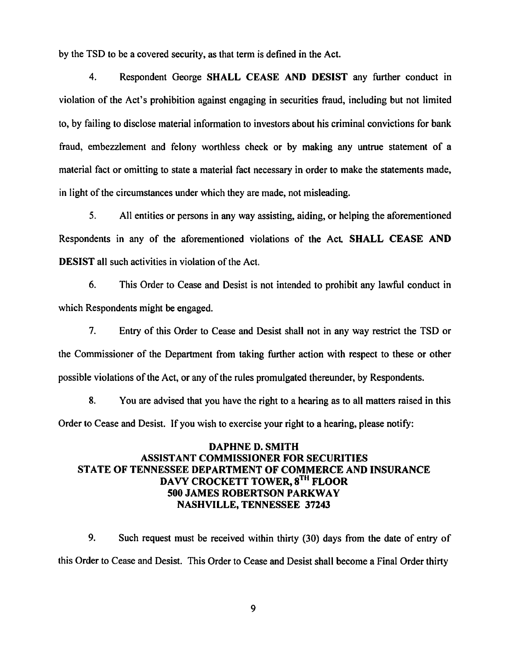by the TSD to be a covered security, as that term is defined in the Act.

4. Respondent George SHALL CEASE AND DESIST any further conduct in violation of the Act's prohibition against engaging in securities fraud, including but not limited to, by failing to disclose material information to investors about his criminal convictions for bank fraud, embezzlement and felony worthless check or by making any untrue statement of a material fact or omitting to state a material fact necessary in order to make the statements made, in light of the circumstances under which they are made, not misleading.

5. All entities or persons in any way assisting, aiding, or helping the aforementioned Respondents in any of the aforementioned violations of the Act. SHALL CEASE AND DESIST all such activities in violation of the Act.

6. This Order to Cease and Desist is not intended to prohibit any lawful conduct in which Respondents might be engaged.

7. Entry of this Order to Cease and Desist shall not in any way restrict the TSD or the Commissioner of the Department from taking further action with respect to these or other possible violations of the Act, or any of the rules promulgated thereunder, by Respondents.

8. You are advised that you have the right to a hearing as to all matters raised in this Order to Cease and Desist. If you wish to exercise your right to a hearing, please notify:

# DAPHNE D. SMITH ASSISTANT COMMISSIONER FOR SECURITIES STATE OF TENNESSEE DEPARTMENT OF COMMERCE AND INSURANCE DAVY CROCKETT TOWER, 8<sup>TH</sup> FLOOR 500 JAMES ROBERTSON PARKWAY NASHVILLE, TENNESSEE 37243

9. Such request must be received within thirty (30) days from the date of entry of this Order to Cease and Desist. This Order to Cease and Desist shall become a Final Order thirty